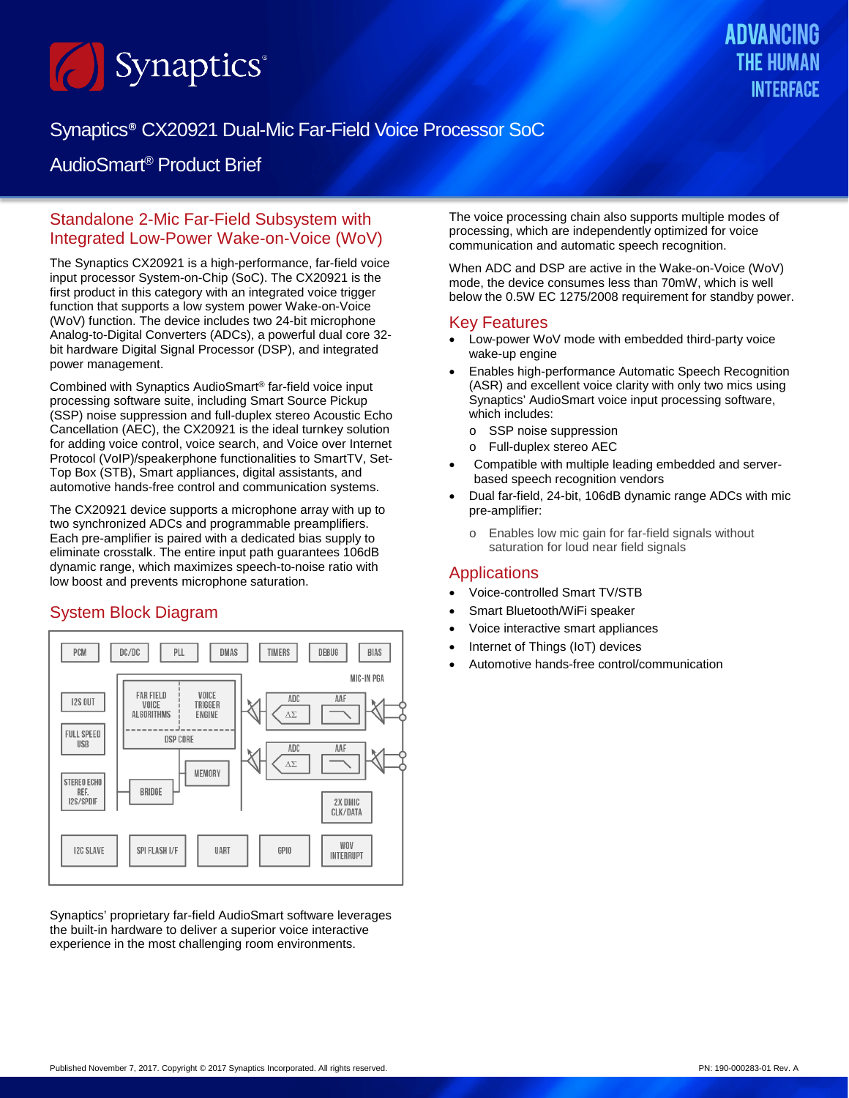

# Synaptics® CX20921 Dual-Mic Far-Field Voice Processor SoC

## AudioSmart® Product Brief

### Standalone 2-Mic Far-Field Subsystem with Integrated Low-Power Wake-on-Voice (WoV)

The Synaptics CX20921 is a high-performance, far-field voice input processor System-on-Chip (SoC). The CX20921 is the first product in this category with an integrated voice trigger function that supports a low system power Wake-on-Voice (WoV) function. The device includes two 24-bit microphone Analog-to-Digital Converters (ADCs), a powerful dual core 32 bit hardware Digital Signal Processor (DSP), and integrated power management.

Combined with Synaptics AudioSmart® far-field voice input processing software suite, including Smart Source Pickup (SSP) noise suppression and full-duplex stereo Acoustic Echo Cancellation (AEC), the CX20921 is the ideal turnkey solution for adding voice control, voice search, and Voice over Internet Protocol (VoIP)/speakerphone functionalities to SmartTV, Set-Top Box (STB), Smart appliances, digital assistants, and automotive hands-free control and communication systems.

The CX20921 device supports a microphone array with up to two synchronized ADCs and programmable preamplifiers. Each pre-amplifier is paired with a dedicated bias supply to eliminate crosstalk. The entire input path guarantees 106dB dynamic range, which maximizes speech-to-noise ratio with low boost and prevents microphone saturation.

## System Block Diagram



Synaptics' proprietary far-field AudioSmart software leverages the built-in hardware to deliver a superior voice interactive experience in the most challenging room environments.

The voice processing chain also supports multiple modes of processing, which are independently optimized for voice communication and automatic speech recognition.

When ADC and DSP are active in the Wake-on-Voice (WoV) mode, the device consumes less than 70mW, which is well below the 0.5W EC 1275/2008 requirement for standby power.

#### Key Features

- Low-power WoV mode with embedded third-party voice wake-up engine
- Enables high-performance Automatic Speech Recognition (ASR) and excellent voice clarity with only two mics using Synaptics' AudioSmart voice input processing software, which includes:
	- o SSP noise suppression
	- o Full-duplex stereo AEC
- Compatible with multiple leading embedded and serverbased speech recognition vendors
- Dual far-field, 24-bit, 106dB dynamic range ADCs with mic pre-amplifier:
	- o Enables low mic gain for far-field signals without saturation for loud near field signals

### **Applications**

- Voice-controlled Smart TV/STB
- Smart Bluetooth/WiFi speaker
- Voice interactive smart appliances
- Internet of Things (IoT) devices
- Automotive hands-free control/communication